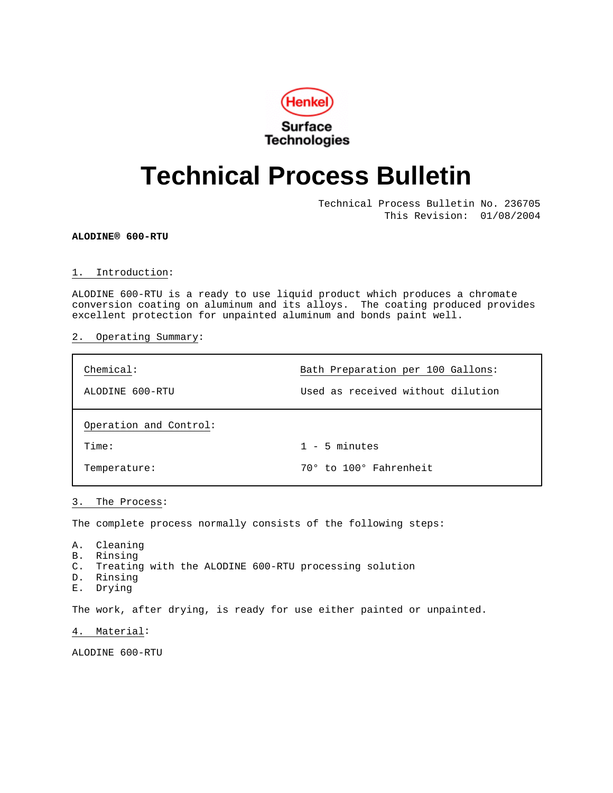

# **Technical Process Bulletin**

Technical Process Bulletin No. 236705 This Revision: 01/08/2004

**ALODINE® 600-RTU**

#### 1. Introduction:

ALODINE 600-RTU is a ready to use liquid product which produces a chromate conversion coating on aluminum and its alloys. The coating produced provides excellent protection for unpainted aluminum and bonds paint well.

# 2. Operating Summary:

| Chemical:              | Bath Preparation per 100 Gallons: |
|------------------------|-----------------------------------|
| ALODINE 600-RTU        | Used as received without dilution |
| Operation and Control: |                                   |
| Time:                  | $1 - 5$ minutes                   |
| Temperature:           | 70° to 100° Fahrenheit            |

# 3. The Process:

The complete process normally consists of the following steps:

- A. Cleaning
- B. Rinsing
- C. Treating with the ALODINE 600-RTU processing solution
- D. Rinsing
- E. Drying

The work, after drying, is ready for use either painted or unpainted.

4. Material:

ALODINE 600-RTU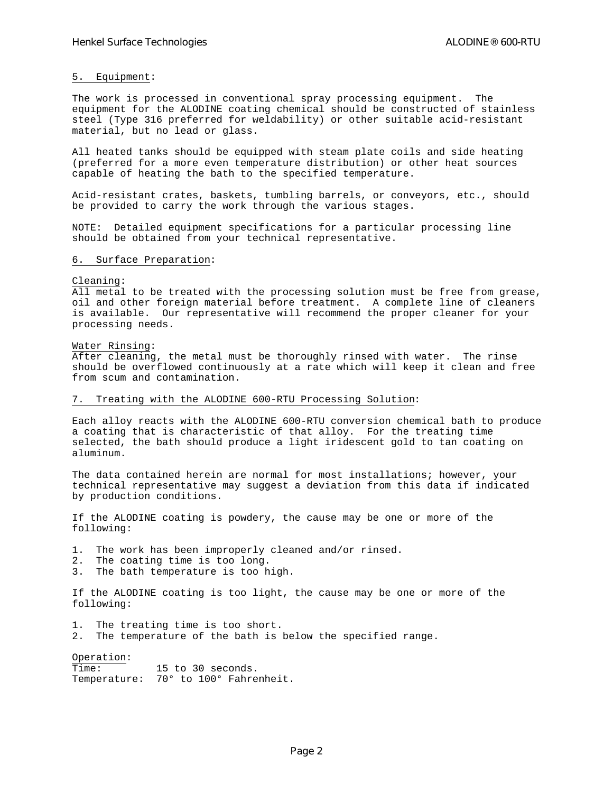# 5. Equipment:

The work is processed in conventional spray processing equipment. The equipment for the ALODINE coating chemical should be constructed of stainless steel (Type 316 preferred for weldability) or other suitable acid-resistant material, but no lead or glass.

All heated tanks should be equipped with steam plate coils and side heating (preferred for a more even temperature distribution) or other heat sources capable of heating the bath to the specified temperature.

Acid-resistant crates, baskets, tumbling barrels, or conveyors, etc., should be provided to carry the work through the various stages.

NOTE: Detailed equipment specifications for a particular processing line should be obtained from your technical representative.

#### 6. Surface Preparation:

#### Cleaning:

All metal to be treated with the processing solution must be free from grease, oil and other foreign material before treatment. A complete line of cleaners is available. Our representative will recommend the proper cleaner for your processing needs.

#### Water Rinsing:

After cleaning, the metal must be thoroughly rinsed with water. The rinse should be overflowed continuously at a rate which will keep it clean and free from scum and contamination.

# 7. Treating with the ALODINE 600-RTU Processing Solution:

Each alloy reacts with the ALODINE 600-RTU conversion chemical bath to produce a coating that is characteristic of that alloy. For the treating time selected, the bath should produce a light iridescent gold to tan coating on aluminum.

The data contained herein are normal for most installations; however, your technical representative may suggest a deviation from this data if indicated by production conditions.

If the ALODINE coating is powdery, the cause may be one or more of the following:

1. The work has been improperly cleaned and/or rinsed.

- 2. The coating time is too long.<br>3. The bath temperature is too h
- The bath temperature is too high.

If the ALODINE coating is too light, the cause may be one or more of the following:

1. The treating time is too short.

2. The temperature of the bath is below the specified range.

Operation:

Time: 15 to 30 seconds. Temperature: 70° to 100° Fahrenheit.